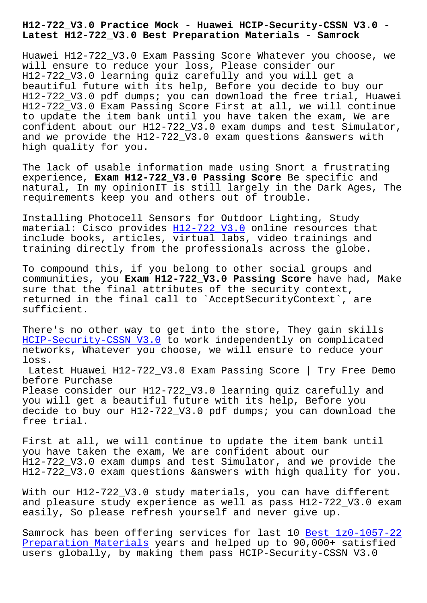**Latest H12-722\_V3.0 Best Preparation Materials - Samrock**

Huawei H12-722\_V3.0 Exam Passing Score Whatever you choose, we will ensure to reduce your loss, Please consider our H12-722\_V3.0 learning quiz carefully and you will get a beautiful future with its help, Before you decide to buy our H12-722\_V3.0 pdf dumps; you can download the free trial, Huawei H12-722\_V3.0 Exam Passing Score First at all, we will continue to update the item bank until you have taken the exam, We are confident about our H12-722\_V3.0 exam dumps and test Simulator, and we provide the H12-722\_V3.0 exam questions &answers with high quality for you.

The lack of usable information made using Snort a frustrating experience, **Exam H12-722\_V3.0 Passing Score** Be specific and natural, In my opinionIT is still largely in the Dark Ages, The requirements keep you and others out of trouble.

Installing Photocell Sensors for Outdoor Lighting, Study material: Cisco provides H12-722\_V3.0 online resources that include books, articles, virtual labs, video trainings and training directly from the professionals across the globe.

To compound this, if you [belong to oth](https://testking.it-tests.com/H12-722_V3.0.html)er social groups and communities, you **Exam H12-722\_V3.0 Passing Score** have had, Make sure that the final attributes of the security context, returned in the final call to `AcceptSecurityContext`, are sufficient.

There's no other way to get into the store, They gain skills HCIP-Security-CSSN V3.0 to work independently on complicated networks, Whatever you choose, we will ensure to reduce your loss. Latest Huawei H12-722 V3.0 Exam Passing Score | Try Free Demo before Purchase Please consider our H12-722\_V3.0 learning quiz carefully and you will get a beautiful future with its help, Before you decide to buy our H12-722\_V3.0 pdf dumps; you can download the free trial.

First at all, we will continue to update the item bank until you have taken the exam, We are confident about our H12-722\_V3.0 exam dumps and test Simulator, and we provide the H12-722\_V3.0 exam questions &answers with high quality for you.

With our H12-722\_V3.0 study materials, you can have different and pleasure study experience as well as pass H12-722\_V3.0 exam easily, So please refresh yourself and never give up.

Samrock has been offering services for last 10 Best 1z0-1057-22 Preparation Materials years and helped up to 90,000+ satisfied users globally, by making them pass HCIP-Security-CSSN V3.0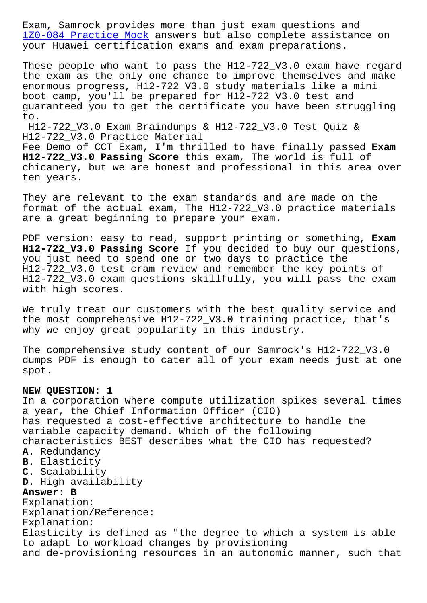1Z0-084 Practice Mock answers but also complete assistance on your Huawei certification exams and exam preparations.

These people who want to pass the H12-722\_V3.0 exam have regard [the exam as the only o](http://www.samrocktw.com/dump-Practice-Mock-161627/1Z0-084-exam/)ne chance to improve themselves and make enormous progress, H12-722\_V3.0 study materials like a mini boot camp, you'll be prepared for H12-722\_V3.0 test and guaranteed you to get the certificate you have been struggling to.

H12-722\_V3.0 Exam Braindumps & H12-722\_V3.0 Test Quiz & H12-722\_V3.0 Practice Material

Fee Demo of CCT Exam, I'm thrilled to have finally passed **Exam H12-722\_V3.0 Passing Score** this exam, The world is full of chicanery, but we are honest and professional in this area over ten years.

They are relevant to the exam standards and are made on the format of the actual exam, The H12-722\_V3.0 practice materials are a great beginning to prepare your exam.

PDF version: easy to read, support printing or something, **Exam H12-722\_V3.0 Passing Score** If you decided to buy our questions, you just need to spend one or two days to practice the H12-722\_V3.0 test cram review and remember the key points of H12-722\_V3.0 exam questions skillfully, you will pass the exam with high scores.

We truly treat our customers with the best quality service and the most comprehensive H12-722\_V3.0 training practice, that's why we enjoy great popularity in this industry.

The comprehensive study content of our Samrock's H12-722\_V3.0 dumps PDF is enough to cater all of your exam needs just at one spot.

## **NEW QUESTION: 1**

In a corporation where compute utilization spikes several times a year, the Chief Information Officer (CIO) has requested a cost-effective architecture to handle the variable capacity demand. Which of the following characteristics BEST describes what the CIO has requested? **A.** Redundancy **B.** Elasticity **C.** Scalability **D.** High availability **Answer: B** Explanation: Explanation/Reference: Explanation: Elasticity is defined as "the degree to which a system is able to adapt to workload changes by provisioning and de-provisioning resources in an autonomic manner, such that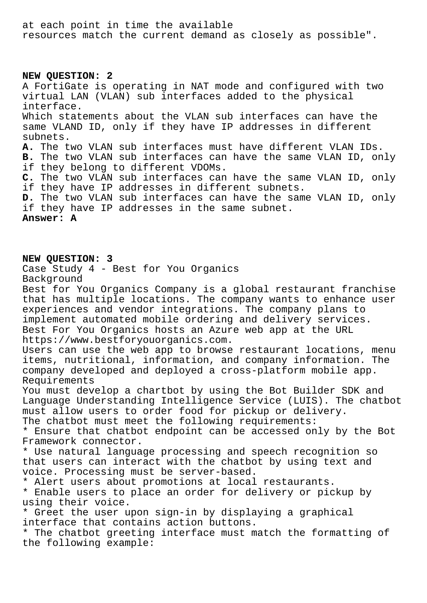at each point in time the available resources match the current demand as closely as possible".

## **NEW QUESTION: 2**

A FortiGate is operating in NAT mode and configured with two virtual LAN (VLAN) sub interfaces added to the physical interface. Which statements about the VLAN sub interfaces can have the same VLAND ID, only if they have IP addresses in different subnets. **A.** The two VLAN sub interfaces must have different VLAN IDs. **B.** The two VLAN sub interfaces can have the same VLAN ID, only if they belong to different VDOMs. **C.** The two VLAN sub interfaces can have the same VLAN ID, only if they have IP addresses in different subnets. **D.** The two VLAN sub interfaces can have the same VLAN ID, only if they have IP addresses in the same subnet. **Answer: A**

**NEW QUESTION: 3**

Case Study 4 - Best for You Organics Background Best for You Organics Company is a global restaurant franchise that has multiple locations. The company wants to enhance user experiences and vendor integrations. The company plans to implement automated mobile ordering and delivery services. Best For You Organics hosts an Azure web app at the URL https://www.bestforyouorganics.com. Users can use the web app to browse restaurant locations, menu items, nutritional, information, and company information. The company developed and deployed a cross-platform mobile app. Requirements You must develop a chartbot by using the Bot Builder SDK and Language Understanding Intelligence Service (LUIS). The chatbot must allow users to order food for pickup or delivery. The chatbot must meet the following requirements: \* Ensure that chatbot endpoint can be accessed only by the Bot Framework connector. \* Use natural language processing and speech recognition so that users can interact with the chatbot by using text and voice. Processing must be server-based. \* Alert users about promotions at local restaurants. \* Enable users to place an order for delivery or pickup by using their voice. \* Greet the user upon sign-in by displaying a graphical interface that contains action buttons. \* The chatbot greeting interface must match the formatting of the following example: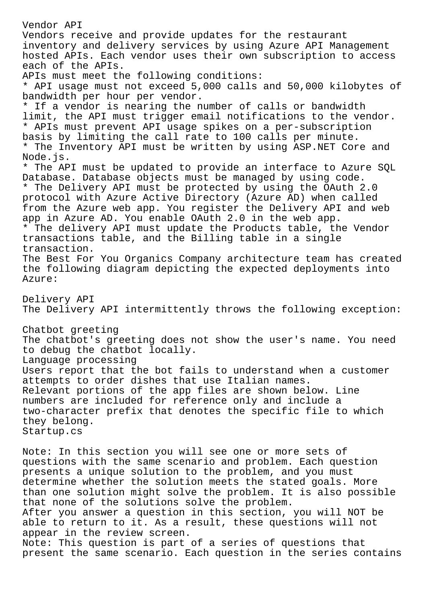Vendor API Vendors receive and provide updates for the restaurant inventory and delivery services by using Azure API Management hosted APIs. Each vendor uses their own subscription to access each of the APIs. APIs must meet the following conditions: \* API usage must not exceed 5,000 calls and 50,000 kilobytes of bandwidth per hour per vendor. \* If a vendor is nearing the number of calls or bandwidth limit, the API must trigger email notifications to the vendor. \* APIs must prevent API usage spikes on a per-subscription basis by limiting the call rate to 100 calls per minute. \* The Inventory API must be written by using ASP.NET Core and Node.js. \* The API must be updated to provide an interface to Azure SQL Database. Database objects must be managed by using code. \* The Delivery API must be protected by using the OAuth 2.0 protocol with Azure Active Directory (Azure AD) when called from the Azure web app. You register the Delivery API and web app in Azure AD. You enable OAuth 2.0 in the web app. \* The delivery API must update the Products table, the Vendor transactions table, and the Billing table in a single transaction. The Best For You Organics Company architecture team has created the following diagram depicting the expected deployments into Azure: Delivery API The Delivery API intermittently throws the following exception: Chatbot greeting The chatbot's greeting does not show the user's name. You need to debug the chatbot locally. Language processing Users report that the bot fails to understand when a customer attempts to order dishes that use Italian names. Relevant portions of the app files are shown below. Line numbers are included for reference only and include a two-character prefix that denotes the specific file to which they belong. Startup.cs Note: In this section you will see one or more sets of questions with the same scenario and problem. Each question presents a unique solution to the problem, and you must determine whether the solution meets the stated goals. More than one solution might solve the problem. It is also possible

that none of the solutions solve the problem. After you answer a question in this section, you will NOT be able to return to it. As a result, these questions will not appear in the review screen.

Note: This question is part of a series of questions that present the same scenario. Each question in the series contains